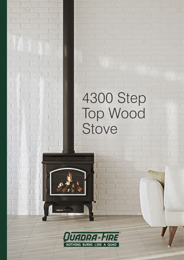## 4300 Step  $\hat{1}$ Top Wood Stove